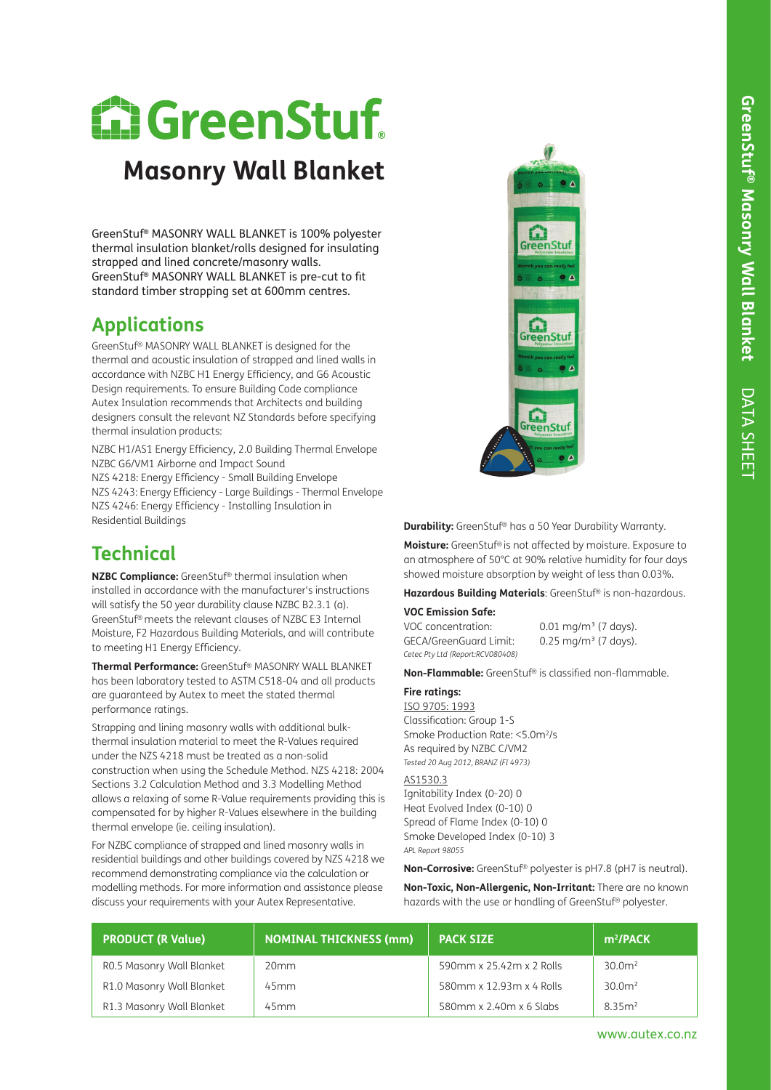# **M. GreenStuf**

## **Masonry Wall Blanket**

GreenStuf® MASONRY WALL BLANKET is 100% polyester thermal insulation blanket/rolls designed for insulating strapped and lined concrete/masonry walls. GreenStuf® MASONRY WALL BLANKET is pre-cut to fit standard timber strapping set at 600mm centres.

### **Applications**

GreenStuf® MASONRY WALL BLANKET is designed for the thermal and acoustic insulation of strapped and lined walls in accordance with NZBC H1 Energy Efficiency, and G6 Acoustic Design requirements. To ensure Building Code compliance Autex Insulation recommends that Architects and building designers consult the relevant NZ Standards before specifying thermal insulation products:

NZBC H1/AS1 Energy Efficiency, 2.0 Building Thermal Envelope NZBC G6/VM1 Airborne and Impact Sound NZS 4218: Energy Efficiency - Small Building Envelope NZS 4243: Energy Efficiency - Large Buildings - Thermal Envelope NZS 4246: Energy Efficiency - Installing Insulation in Residential Buildings

## **Technical**

**NZBC Compliance:** GreenStuf® thermal insulation when installed in accordance with the manufacturer's instructions will satisfy the 50 year durability clause NZBC B2.3.1 (a). GreenStuf® meets the relevant clauses of NZBC E3 Internal Moisture, F2 Hazardous Building Materials, and will contribute to meeting H1 Energy Efficiency.

**Thermal Performance:** GreenStuf® MASONRY WALL BLANKET has been laboratory tested to ASTM C518-04 and all products are guaranteed by Autex to meet the stated thermal performance ratings.

Strapping and lining masonry walls with additional bulkthermal insulation material to meet the R-Values required under the NZS 4218 must be treated as a non-solid construction when using the Schedule Method. NZS 4218: 2004 Sections 3.2 Calculation Method and 3.3 Modelling Method allows a relaxing of some R-Value requirements providing this is compensated for by higher R-Values elsewhere in the building thermal envelope (ie. ceiling insulation).

For NZBC compliance of strapped and lined masonry walls in residential buildings and other buildings covered by NZS 4218 we recommend demonstrating compliance via the calculation or modelling methods. For more information and assistance please discuss your requirements with your Autex Representative.



**Durability:** GreenStuf® has a 50 Year Durability Warranty.

**Moisture:** GreenStuf® is not affected by moisture. Exposure to an atmosphere of 50°C at 90% relative humidity for four days showed moisture absorption by weight of less than 0.03%.

**Hazardous Building Materials**: GreenStuf® is non-hazardous.

#### **VOC Emission Safe:**

VOC concentration: 0.01 mg/m<sup>3</sup> (7 days). GECA/GreenGuard Limit: 0.25 mg/m<sup>3</sup> (7 days). *Cetec Pty Ltd (Report:RCV080408)*

**Non-Flammable:** GreenStuf® is classified non-flammable.

#### **Fire ratings:**

ISO 9705: 1993 Classification: Group 1-S Smoke Production Rate: <5.0m2/s As required by NZBC C/VM2 *Tested 20 Aug 2012, BRANZ (FI 4973)* 

#### AS1530.3

Ignitability Index (0-20) 0 Heat Evolved Index (0-10) 0 Spread of Flame Index (0-10) 0 Smoke Developed Index (0-10) 3 *APL Report 98055*

**Non-Corrosive:** GreenStuf® polyester is pH7.8 (pH7 is neutral).

**Non-Toxic, Non-Allergenic, Non-Irritant:** There are no known hazards with the use or handling of GreenStuf® polyester.

| <b>PRODUCT (R Value)</b>  | <b>NOMINAL THICKNESS (mm)</b> | <b>PACK SIZE</b>         | $m^2$ /PACK        |
|---------------------------|-------------------------------|--------------------------|--------------------|
| R0.5 Masonry Wall Blanket | 20 <sub>mm</sub>              | 590mm x 25.42m x 2 Rolls | 30.0 <sup>m²</sup> |
| R1.0 Masonry Wall Blanket | 45mm                          | 580mm x 12.93m x 4 Rolls | 30.0 <sup>m²</sup> |
| R1.3 Masonry Wall Blanket | 45mm                          | 580mm x 2.40m x 6 Slabs  | 8.35 <sup>2</sup>  |